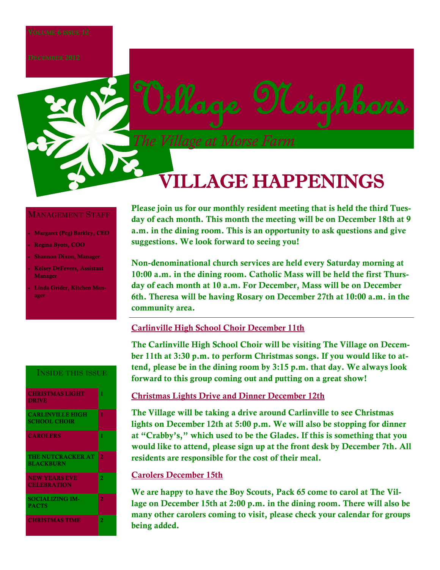

### *The Village at Morse Farm*

## **ILLAGE HAPPENINGS**

#### MANAGEMENT STAFF

- **Margaret (Peg) Barkley, CEO**
- **Regina Byots, COO**
- **Shannon Dixon, Manager**
- **Kelsey DeFevers, Assistant Manager**
- **Linda Grider, Kitchen Manager**

#### INSIDE THIS ISSUE **CHRISTMAS LIGHT DRIVE 1 CARLINVILLE HIGH SCHOOL CHOIR 1 CAROLERS 1 THE NUTCRACKER AT BLACKBURN 2 NEW YEARS EVE CELEBRATION 2 SOCIALIZING IM-PACTS 2 CHRISTMAS TIME 2**

**Please join us for our monthly resident meeting that is held the third Tuesday of each month. This month the meeting will be on December 18th at 9 a.m. in the dining room. This is an opportunity to ask questions and give suggestions. We look forward to seeing you!**

**Non-denominational church services are held every Saturday morning at 10:00 a.m. in the dining room. Catholic Mass will be held the first Thursday of each month at 10 a.m. For December, Mass will be on December 6th. Theresa will be having Rosary on December 27th at 10:00 a.m. in the community area.**

#### **Carlinville High School Choir December 11th**

**The Carlinville High School Choir will be visiting The Village on December 11th at 3:30 p.m. to perform Christmas songs. If you would like to attend, please be in the dining room by 3:15 p.m. that day. We always look forward to this group coming out and putting on a great show!**

#### **Christmas Lights Drive and Dinner December 12th**

**The Village will be taking a drive around Carlinville to see Christmas lights on December 12th at 5:00 p.m. We will also be stopping for dinner at "Crabby's," which used to be the Glades. If this is something that you would like to attend, please sign up at the front desk by December 7th. All residents are responsible for the cost of their meal.** 

#### **Carolers December 15th**

**We are happy to have the Boy Scouts, Pack 65 come to carol at The Village on December 15th at 2:00 p.m. in the dining room. There will also be many other carolers coming to visit, please check your calendar for groups being added.**